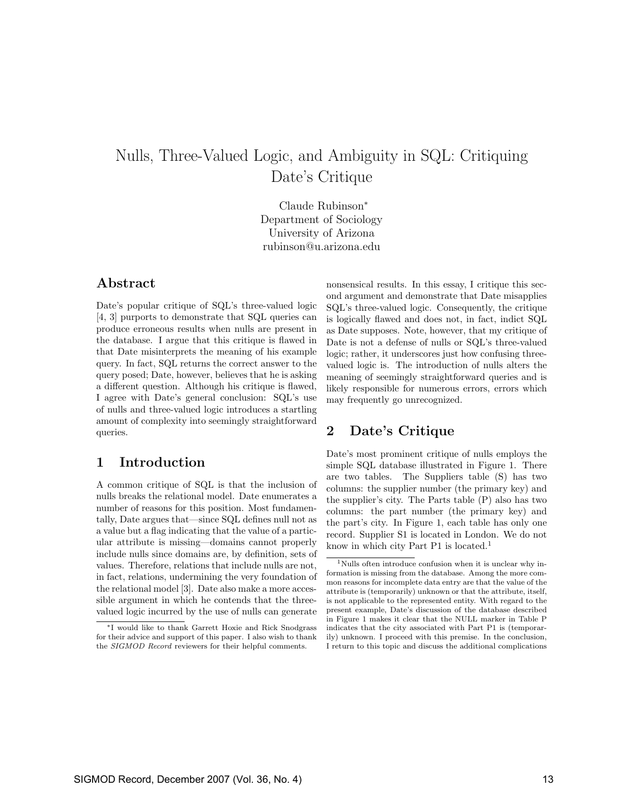# Nulls, Three-Valued Logic, and Ambiguity in SQL: Critiquing Date's Critique

Claude Rubinson<sup>∗</sup> Department of Sociology University of Arizona rubinson@u.arizona.edu

## Abstract

Date's popular critique of SQL's three-valued logic [4, 3] purports to demonstrate that SQL queries can produce erroneous results when nulls are present in the database. I argue that this critique is flawed in that Date misinterprets the meaning of his example query. In fact, SQL returns the correct answer to the query posed; Date, however, believes that he is asking a different question. Although his critique is flawed, I agree with Date's general conclusion: SQL's use of nulls and three-valued logic introduces a startling amount of complexity into seemingly straightforward queries.

# 1 Introduction

A common critique of SQL is that the inclusion of nulls breaks the relational model. Date enumerates a number of reasons for this position. Most fundamentally, Date argues that—since SQL defines null not as a value but a flag indicating that the value of a particular attribute is missing—domains cannot properly include nulls since domains are, by definition, sets of values. Therefore, relations that include nulls are not, in fact, relations, undermining the very foundation of the relational model [3]. Date also make a more accessible argument in which he contends that the threevalued logic incurred by the use of nulls can generate

nonsensical results. In this essay, I critique this second argument and demonstrate that Date misapplies SQL's three-valued logic. Consequently, the critique is logically flawed and does not, in fact, indict SQL as Date supposes. Note, however, that my critique of Date is not a defense of nulls or SQL's three-valued logic; rather, it underscores just how confusing threevalued logic is. The introduction of nulls alters the meaning of seemingly straightforward queries and is likely responsible for numerous errors, errors which may frequently go unrecognized.

## 2 Date's Critique

Date's most prominent critique of nulls employs the simple SQL database illustrated in Figure 1. There are two tables. The Suppliers table (S) has two columns: the supplier number (the primary key) and the supplier's city. The Parts table (P) also has two columns: the part number (the primary key) and the part's city. In Figure 1, each table has only one record. Supplier S1 is located in London. We do not know in which city Part P1 is located.<sup>1</sup>

<sup>∗</sup>I would like to thank Garrett Hoxie and Rick Snodgrass for their advice and support of this paper. I also wish to thank the SIGMOD Record reviewers for their helpful comments.

<sup>&</sup>lt;sup>1</sup>Nulls often introduce confusion when it is unclear why information is missing from the database. Among the more common reasons for incomplete data entry are that the value of the attribute is (temporarily) unknown or that the attribute, itself, is not applicable to the represented entity. With regard to the present example, Date's discussion of the database described in Figure 1 makes it clear that the NULL marker in Table P indicates that the city associated with Part P1 is (temporarily) unknown. I proceed with this premise. In the conclusion, I return to this topic and discuss the additional complications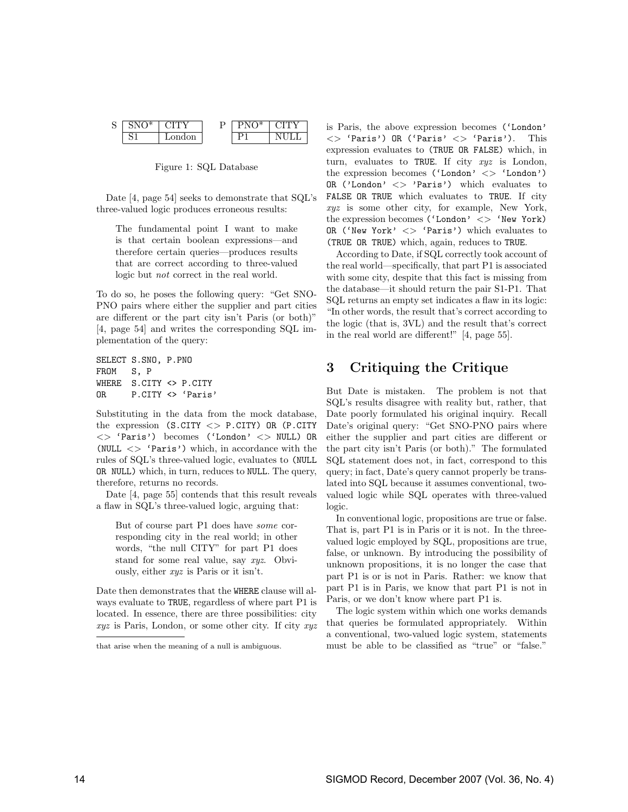| ◡ | $- - - -$ | $\cdot$ . | $\alpha$ $\pi$ $\pi$ $\pi$ |
|---|-----------|-----------|----------------------------|
|   |           |           |                            |

Figure 1: SQL Database

Date [4, page 54] seeks to demonstrate that SQL's three-valued logic produces erroneous results:

The fundamental point I want to make is that certain boolean expressions—and therefore certain queries—produces results that are correct according to three-valued logic but not correct in the real world.

To do so, he poses the following query: "Get SNO-PNO pairs where either the supplier and part cities are different or the part city isn't Paris (or both)" [4, page 54] and writes the corresponding SQL implementation of the query:

SELECT S.SNO, P.PNO FROM S, P WHERE S.CITY <> P.CITY OR P.CITY <> 'Paris'

Substituting in the data from the mock database, the expression  $(S.CITY \leq P.CITY)$  OR  $(P.CITY)$ <> 'Paris') becomes ('London' <> NULL) OR (NULL <> 'Paris') which, in accordance with the rules of SQL's three-valued logic, evaluates to (NULL OR NULL) which, in turn, reduces to NULL. The query, therefore, returns no records.

Date [4, page 55] contends that this result reveals a flaw in SQL's three-valued logic, arguing that:

But of course part P1 does have some corresponding city in the real world; in other words, "the null CITY" for part P1 does stand for some real value, say xyz. Obviously, either xyz is Paris or it isn't.

Date then demonstrates that the WHERE clause will always evaluate to TRUE, regardless of where part P1 is located. In essence, there are three possibilities: city  $xyz$  is Paris, London, or some other city. If city  $xyz$ 

is Paris, the above expression becomes ('London'  $\langle$  'Paris') OR ('Paris'  $\langle$  'Paris'). This expression evaluates to (TRUE OR FALSE) which, in turn, evaluates to TRUE. If city  $xyz$  is London, the expression becomes ('London'  $\langle \rangle$  'London') OR ('London' <> 'Paris') which evaluates to FALSE OR TRUE which evaluates to TRUE. If city xyz is some other city, for example, New York, the expression becomes ('London' <> 'New York) OR ('New York' <> 'Paris') which evaluates to (TRUE OR TRUE) which, again, reduces to TRUE.

According to Date, if SQL correctly took account of the real world—specifically, that part P1 is associated with some city, despite that this fact is missing from the database—it should return the pair S1-P1. That SQL returns an empty set indicates a flaw in its logic: "In other words, the result that's correct according to the logic (that is, 3VL) and the result that's correct in the real world are different!" [4, page 55].

#### 3 Critiquing the Critique

But Date is mistaken. The problem is not that SQL's results disagree with reality but, rather, that Date poorly formulated his original inquiry. Recall Date's original query: "Get SNO-PNO pairs where either the supplier and part cities are different or the part city isn't Paris (or both)." The formulated SQL statement does not, in fact, correspond to this query; in fact, Date's query cannot properly be translated into SQL because it assumes conventional, twovalued logic while SQL operates with three-valued logic.

In conventional logic, propositions are true or false. That is, part P1 is in Paris or it is not. In the threevalued logic employed by SQL, propositions are true, false, or unknown. By introducing the possibility of unknown propositions, it is no longer the case that part P1 is or is not in Paris. Rather: we know that part P1 is in Paris, we know that part P1 is not in Paris, or we don't know where part P1 is.

The logic system within which one works demands that queries be formulated appropriately. Within a conventional, two-valued logic system, statements must be able to be classified as "true" or "false."

that arise when the meaning of a null is ambiguous.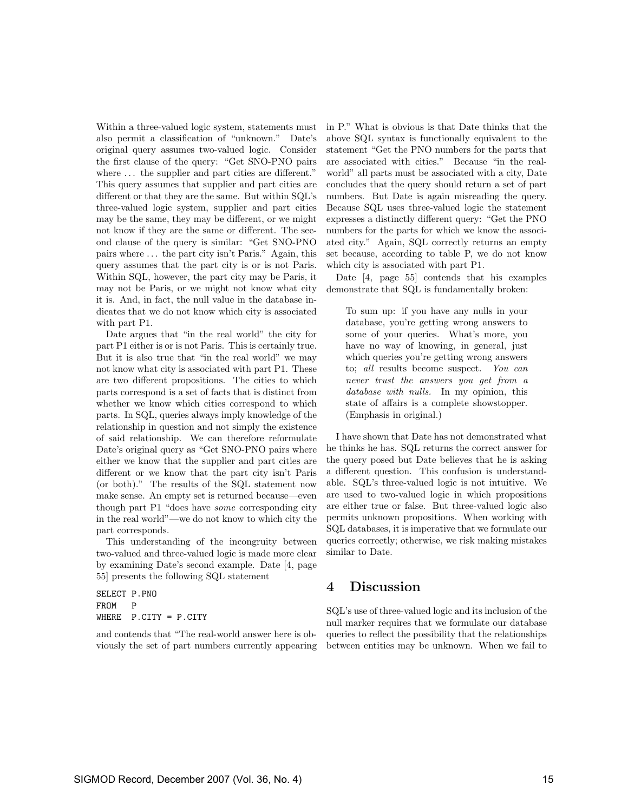Within a three-valued logic system, statements must also permit a classification of "unknown." Date's original query assumes two-valued logic. Consider the first clause of the query: "Get SNO-PNO pairs where  $\dots$  the supplier and part cities are different." This query assumes that supplier and part cities are different or that they are the same. But within SQL's three-valued logic system, supplier and part cities may be the same, they may be different, or we might not know if they are the same or different. The second clause of the query is similar: "Get SNO-PNO pairs where . . . the part city isn't Paris." Again, this query assumes that the part city is or is not Paris. Within SQL, however, the part city may be Paris, it may not be Paris, or we might not know what city it is. And, in fact, the null value in the database indicates that we do not know which city is associated with part P1.

Date argues that "in the real world" the city for part P1 either is or is not Paris. This is certainly true. But it is also true that "in the real world" we may not know what city is associated with part P1. These are two different propositions. The cities to which parts correspond is a set of facts that is distinct from whether we know which cities correspond to which parts. In SQL, queries always imply knowledge of the relationship in question and not simply the existence of said relationship. We can therefore reformulate Date's original query as "Get SNO-PNO pairs where either we know that the supplier and part cities are different or we know that the part city isn't Paris (or both)." The results of the SQL statement now make sense. An empty set is returned because—even though part P1 "does have some corresponding city in the real world"—we do not know to which city the part corresponds.

This understanding of the incongruity between two-valued and three-valued logic is made more clear by examining Date's second example. Date [4, page 55] presents the following SQL statement

SELECT P.PNO FROM P WHERE P.CITY = P.CITY

and contends that "The real-world answer here is obviously the set of part numbers currently appearing in P." What is obvious is that Date thinks that the above SQL syntax is functionally equivalent to the statement "Get the PNO numbers for the parts that are associated with cities." Because "in the realworld" all parts must be associated with a city, Date concludes that the query should return a set of part numbers. But Date is again misreading the query. Because SQL uses three-valued logic the statement expresses a distinctly different query: "Get the PNO numbers for the parts for which we know the associated city." Again, SQL correctly returns an empty set because, according to table P, we do not know which city is associated with part P1.

Date [4, page 55] contends that his examples demonstrate that SQL is fundamentally broken:

To sum up: if you have any nulls in your database, you're getting wrong answers to some of your queries. What's more, you have no way of knowing, in general, just which queries you're getting wrong answers to; all results become suspect. You can never trust the answers you get from a database with nulls. In my opinion, this state of affairs is a complete showstopper. (Emphasis in original.)

I have shown that Date has not demonstrated what he thinks he has. SQL returns the correct answer for the query posed but Date believes that he is asking a different question. This confusion is understandable. SQL's three-valued logic is not intuitive. We are used to two-valued logic in which propositions are either true or false. But three-valued logic also permits unknown propositions. When working with SQL databases, it is imperative that we formulate our queries correctly; otherwise, we risk making mistakes similar to Date.

#### 4 Discussion

SQL's use of three-valued logic and its inclusion of the null marker requires that we formulate our database queries to reflect the possibility that the relationships between entities may be unknown. When we fail to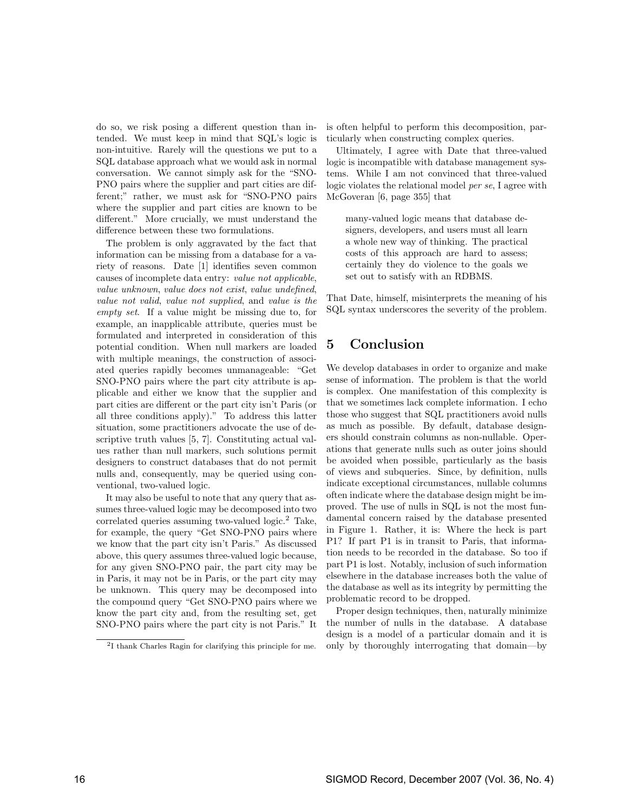do so, we risk posing a different question than intended. We must keep in mind that SQL's logic is non-intuitive. Rarely will the questions we put to a SQL database approach what we would ask in normal conversation. We cannot simply ask for the "SNO-PNO pairs where the supplier and part cities are different;" rather, we must ask for "SNO-PNO pairs where the supplier and part cities are known to be different." More crucially, we must understand the difference between these two formulations.

The problem is only aggravated by the fact that information can be missing from a database for a variety of reasons. Date [1] identifies seven common causes of incomplete data entry: value not applicable, value unknown, value does not exist, value undefined, value not valid, value not supplied, and value is the empty set. If a value might be missing due to, for example, an inapplicable attribute, queries must be formulated and interpreted in consideration of this potential condition. When null markers are loaded with multiple meanings, the construction of associated queries rapidly becomes unmanageable: "Get SNO-PNO pairs where the part city attribute is applicable and either we know that the supplier and part cities are different or the part city isn't Paris (or all three conditions apply)." To address this latter situation, some practitioners advocate the use of descriptive truth values [5, 7]. Constituting actual values rather than null markers, such solutions permit designers to construct databases that do not permit nulls and, consequently, may be queried using conventional, two-valued logic.

It may also be useful to note that any query that assumes three-valued logic may be decomposed into two correlated queries assuming two-valued logic.<sup>2</sup> Take, for example, the query "Get SNO-PNO pairs where we know that the part city isn't Paris." As discussed above, this query assumes three-valued logic because, for any given SNO-PNO pair, the part city may be in Paris, it may not be in Paris, or the part city may be unknown. This query may be decomposed into the compound query "Get SNO-PNO pairs where we know the part city and, from the resulting set, get SNO-PNO pairs where the part city is not Paris." It

<sup>2</sup>I thank Charles Ragin for clarifying this principle for me.

is often helpful to perform this decomposition, particularly when constructing complex queries.

Ultimately, I agree with Date that three-valued logic is incompatible with database management systems. While I am not convinced that three-valued logic violates the relational model per se, I agree with McGoveran [6, page 355] that

many-valued logic means that database designers, developers, and users must all learn a whole new way of thinking. The practical costs of this approach are hard to assess; certainly they do violence to the goals we set out to satisfy with an RDBMS.

That Date, himself, misinterprets the meaning of his SQL syntax underscores the severity of the problem.

# 5 Conclusion

We develop databases in order to organize and make sense of information. The problem is that the world is complex. One manifestation of this complexity is that we sometimes lack complete information. I echo those who suggest that SQL practitioners avoid nulls as much as possible. By default, database designers should constrain columns as non-nullable. Operations that generate nulls such as outer joins should be avoided when possible, particularly as the basis of views and subqueries. Since, by definition, nulls indicate exceptional circumstances, nullable columns often indicate where the database design might be improved. The use of nulls in SQL is not the most fundamental concern raised by the database presented in Figure 1. Rather, it is: Where the heck is part P1? If part P1 is in transit to Paris, that information needs to be recorded in the database. So too if part P1 is lost. Notably, inclusion of such information elsewhere in the database increases both the value of the database as well as its integrity by permitting the problematic record to be dropped.

Proper design techniques, then, naturally minimize the number of nulls in the database. A database design is a model of a particular domain and it is only by thoroughly interrogating that domain—by